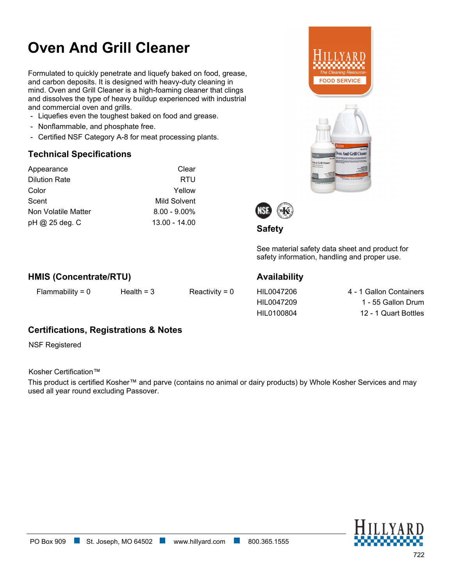# **Oven And Grill Cleaner**

Formulated to quickly penetrate and liquefy baked on food, grease, and carbon deposits. It is designed with heavy-duty cleaning in mind. Oven and Grill Cleaner is a high-foaming cleaner that clings and dissolves the type of heavy buildup experienced with industrial and commercial oven and grills.

- Liquefies even the toughest baked on food and grease.
- Nonflammable, and phosphate free.
- Certified NSF Category A-8 for meat processing plants.

### **Technical Specifications**

| Appearance           | Clear           |
|----------------------|-----------------|
| <b>Dilution Rate</b> | RTU             |
| Color                | Yellow          |
| Scent                | Mild Solvent    |
| Non Volatile Matter  | $8.00 - 9.00\%$ |
| pH @ 25 deg. C       | $13.00 - 14.00$ |





**Safety**

See material safety data sheet and product for safety information, handling and proper use.

### **HMIS (Concentrate/RTU)**

Flammability =  $0$  Health =  $3$  Reactivity =  $0$ 

### **Availability**

HIL0047206 4 - 1 Gallon Containers HIL0047209 1 - 55 Gallon Drum HIL0100804 12 - 1 Quart Bottles

## **Certifications, Registrations & Notes**

NSF Registered

Kosher Certification™

This product is certified Kosher™ and parve (contains no animal or dairy products) by Whole Kosher Services and may used all year round excluding Passover.